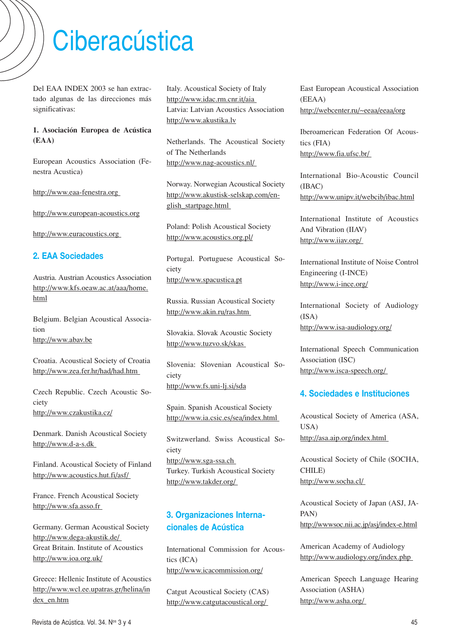# **Ciberacústica**

Del EAA INDEX 2003 se han extractado algunas de las direcciones más significativas:

#### **1. Asociación Europea de Acústica (EAA)**

European Acoustics Association (Fenestra Acustica)

http://www.eaa-fenestra.org

http://www.european-acoustics.org

http://www.euracoustics.org

#### **2. EAA Sociedades**

Austria. Austrian Acoustics Association http://www.kfs.oeaw.ac.at/aaa/home. html

Belgium. Belgian Acoustical Association http://www.abav.be

Croatia. Acoustical Society of Croatia http://www.zea.fer.hr/had/had.htm

Czech Republic. Czech Acoustic Society http://www.czakustika.cz/

Denmark. Danish Acoustical Society http://www.d-a-s.dk

Finland. Acoustical Society of Finland http://www.acoustics.hut.fi/asf/

France. French Acoustical Society http://www.sfa.asso.fr

Germany. German Acoustical Society http://www.dega-akustik.de/ Great Britain. Institute of Acoustics http://www.ioa.org.uk/

Greece: Hellenic Institute of Acoustics http://www.wcl.ee.upatras.gr/helina/in dex\_en.htm

Italy. Acoustical Society of Italy http://www.idac.rm.cnr.it/aia Latvia: Latvian Acoustics Association http://www.akustika.lv

Netherlands. The Acoustical Society of The Netherlands http://www.nag-acoustics.nl/

Norway. Norwegian Acoustical Society http://www.akustisk-selskap.com/english\_startpage.html

Poland: Polish Acoustical Society http://www.acoustics.org.pl/

Portugal. Portuguese Acoustical Society http://www.spacustica.pt

Russia. Russian Acoustical Society http://www.akin.ru/ras.htm

Slovakia. Slovak Acoustic Society http://www.tuzvo.sk/skas

Slovenia: Slovenian Acoustical Society http://www.fs.uni-lj.si/sda

Spain. Spanish Acoustical Society http://www.ia.csic.es/sea/index.html

Switzwerland. Swiss Acoustical Society

http://www.sga-ssa.ch Turkey. Turkish Acoustical Society http://www.takder.org/

## **3. Organizaciones Internacionales de Acústica**

International Commission for Acoustics (ICA) http://www.icacommission.org/

Catgut Acoustical Society (CAS) http://www.catgutacoustical.org/

East European Acoustical Association (EEAA) http://webcenter.ru/~eeaa/eeaa/org

Iberoamerican Federation Of Acoustics (FIA) http://www.fia.ufsc.br/

International Bio-Acoustic Council (IBAC) http://www.unipv.it/webcib/ibac.html

International Institute of Acoustics And Vibration (IIAV) http://www.iiav.org/

International Institute of Noise Control Engineering (I-INCE) http://www.i-ince.org/

International Society of Audiology (ISA) http://www.isa-audiology.org/

International Speech Communication Association (ISC) http://www.isca-speech.org/

#### **4. Sociedades e Instituciones**

Acoustical Society of America (ASA, USA) http://asa.aip.org/index.html

Acoustical Society of Chile (SOCHA, CHILE) http://www.socha.cl/

Acoustical Society of Japan (ASJ, JA-PAN) http://wwwsoc.nii.ac.jp/asj/index-e.html

American Academy of Audiology http://www.audiology.org/index.php

American Speech Language Hearing Association (ASHA) http://www.asha.org/